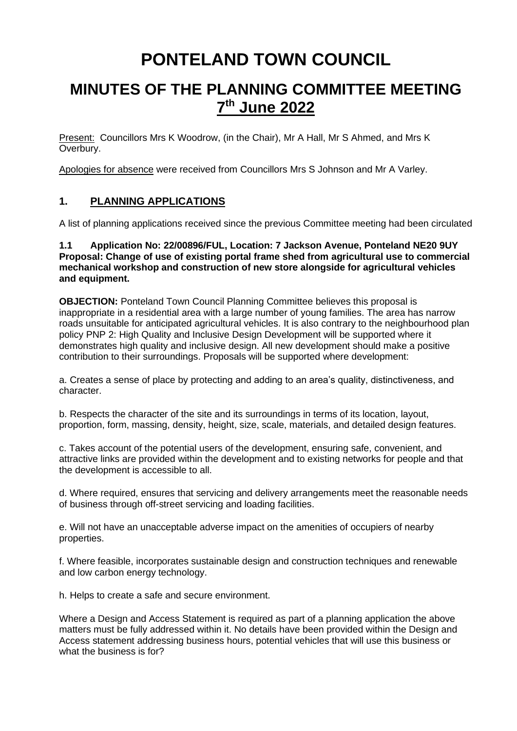# **PONTELAND TOWN COUNCIL**

# **MINUTES OF THE PLANNING COMMITTEE MEETING 7 th June 2022**

Present: Councillors Mrs K Woodrow, (in the Chair), Mr A Hall, Mr S Ahmed, and Mrs K Overbury.

Apologies for absence were received from Councillors Mrs S Johnson and Mr A Varley.

# **1. PLANNING APPLICATIONS**

A list of planning applications received since the previous Committee meeting had been circulated

#### **1.1 Application No: 22/00896/FUL, Location: 7 Jackson Avenue, Ponteland NE20 9UY Proposal: Change of use of existing portal frame shed from agricultural use to commercial mechanical workshop and construction of new store alongside for agricultural vehicles and equipment.**

**OBJECTION:** Ponteland Town Council Planning Committee believes this proposal is inappropriate in a residential area with a large number of young families. The area has narrow roads unsuitable for anticipated agricultural vehicles. It is also contrary to the neighbourhood plan policy PNP 2: High Quality and Inclusive Design Development will be supported where it demonstrates high quality and inclusive design. All new development should make a positive contribution to their surroundings. Proposals will be supported where development:

a. Creates a sense of place by protecting and adding to an area's quality, distinctiveness, and character.

b. Respects the character of the site and its surroundings in terms of its location, layout, proportion, form, massing, density, height, size, scale, materials, and detailed design features.

c. Takes account of the potential users of the development, ensuring safe, convenient, and attractive links are provided within the development and to existing networks for people and that the development is accessible to all.

d. Where required, ensures that servicing and delivery arrangements meet the reasonable needs of business through off-street servicing and loading facilities.

e. Will not have an unacceptable adverse impact on the amenities of occupiers of nearby properties.

f. Where feasible, incorporates sustainable design and construction techniques and renewable and low carbon energy technology.

h. Helps to create a safe and secure environment.

Where a Design and Access Statement is required as part of a planning application the above matters must be fully addressed within it. No details have been provided within the Design and Access statement addressing business hours, potential vehicles that will use this business or what the business is for?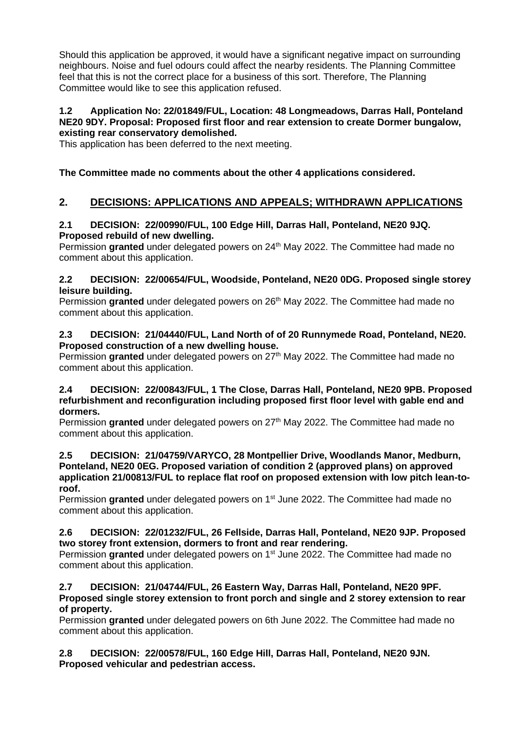Should this application be approved, it would have a significant negative impact on surrounding neighbours. Noise and fuel odours could affect the nearby residents. The Planning Committee feel that this is not the correct place for a business of this sort. Therefore, The Planning Committee would like to see this application refused.

#### **1.2 Application No: 22/01849/FUL, Location: 48 Longmeadows, Darras Hall, Ponteland NE20 9DY. Proposal: Proposed first floor and rear extension to create Dormer bungalow, existing rear conservatory demolished.**

This application has been deferred to the next meeting.

### **The Committee made no comments about the other 4 applications considered.**

## **2. DECISIONS: APPLICATIONS AND APPEALS; WITHDRAWN APPLICATIONS**

#### **2.1 DECISION: 22/00990/FUL, 100 Edge Hill, Darras Hall, Ponteland, NE20 9JQ. Proposed rebuild of new dwelling.**

Permission granted under delegated powers on 24<sup>th</sup> May 2022. The Committee had made no comment about this application.

#### **2.2 DECISION: 22/00654/FUL, Woodside, Ponteland, NE20 0DG. Proposed single storey leisure building.**

Permission granted under delegated powers on 26<sup>th</sup> May 2022. The Committee had made no comment about this application.

#### **2.3 DECISION: 21/04440/FUL, Land North of of 20 Runnymede Road, Ponteland, NE20. Proposed construction of a new dwelling house.**

Permission **granted** under delegated powers on 27<sup>th</sup> May 2022. The Committee had made no comment about this application.

#### **2.4 DECISION: 22/00843/FUL, 1 The Close, Darras Hall, Ponteland, NE20 9PB. Proposed refurbishment and reconfiguration including proposed first floor level with gable end and dormers.**

Permission granted under delegated powers on 27<sup>th</sup> May 2022. The Committee had made no comment about this application.

#### **2.5 DECISION: 21/04759/VARYCO, 28 Montpellier Drive, Woodlands Manor, Medburn, Ponteland, NE20 0EG. Proposed variation of condition 2 (approved plans) on approved application 21/00813/FUL to replace flat roof on proposed extension with low pitch lean-toroof.**

Permission granted under delegated powers on 1<sup>st</sup> June 2022. The Committee had made no comment about this application.

#### **2.6 DECISION: 22/01232/FUL, 26 Fellside, Darras Hall, Ponteland, NE20 9JP. Proposed two storey front extension, dormers to front and rear rendering.**

Permission granted under delegated powers on 1<sup>st</sup> June 2022. The Committee had made no comment about this application.

#### **2.7 DECISION: 21/04744/FUL, 26 Eastern Way, Darras Hall, Ponteland, NE20 9PF. Proposed single storey extension to front porch and single and 2 storey extension to rear of property.**

Permission **granted** under delegated powers on 6th June 2022. The Committee had made no comment about this application.

#### **2.8 DECISION: 22/00578/FUL, 160 Edge Hill, Darras Hall, Ponteland, NE20 9JN. Proposed vehicular and pedestrian access.**